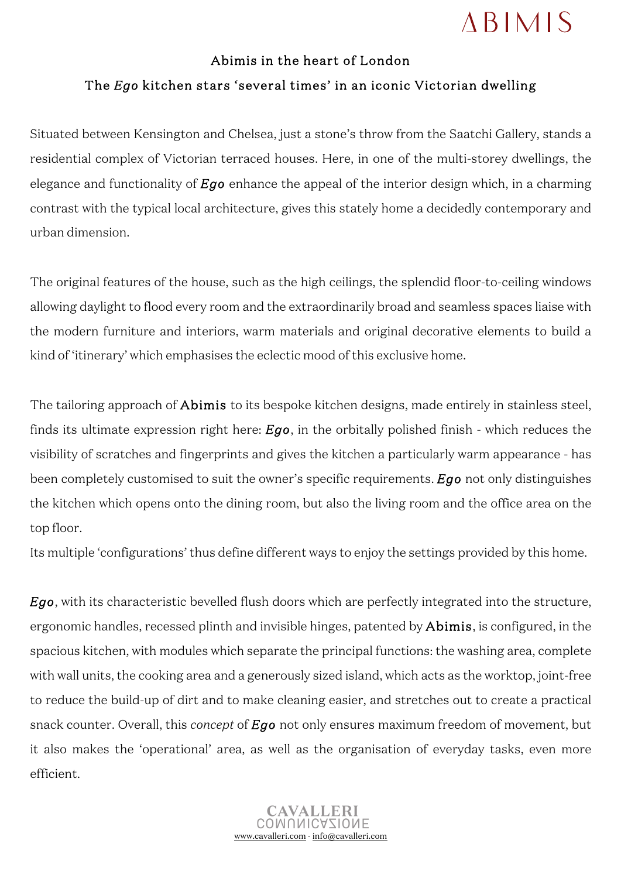## **ABIMIS**

## Abimis in the heart of London The *Ego* kitchen stars 'several times' in an iconic Victorian dwelling

Situated between Kensington and Chelsea, just a stone's throw from the Saatchi Gallery, stands a residential complex of Victorian terraced houses. Here, in one of the multi-storey dwellings, the elegance and functionality of *Ego* enhance the appeal of the interior design which, in a charming contrast with the typical local architecture, gives this stately home a decidedly contemporary and urban dimension.

The original features of the house, such as the high ceilings, the splendid floor-to-ceiling windows allowing daylight to flood every room and the extraordinarily broad and seamless spaces liaise with the modern furniture and interiors, warm materials and original decorative elements to build a kind of 'itinerary' which emphasises the eclectic mood of this exclusive home.

The tailoring approach of **Abimis** to its bespoke kitchen designs, made entirely in stainless steel, finds its ultimate expression right here: *Ego*, in the orbitally polished finish - which reduces the visibility of scratches and fingerprints and gives the kitchen a particularly warm appearance - has been completely customised to suit the owner's specific requirements. *Ego* not only distinguishes the kitchen which opens onto the dining room, but also the living room and the office area on the top floor.

Its multiple 'configurations' thus define different ways to enjoy the settings provided by this home.

*Ego*, with its characteristic bevelled flush doors which are perfectly integrated into the structure, ergonomic handles, recessed plinth and invisible hinges, patented by Abimis, is configured, in the spacious kitchen, with modules which separate the principal functions: the washing area, complete with wall units, the cooking area and a generously sized island, which acts as the worktop, joint-free to reduce the build-up of dirt and to make cleaning easier, and stretches out to create a practical snack counter. Overall, this *concept* of *Ego* not only ensures maximum freedom of movement, but it also makes the 'operational' area, as well as the organisation of everyday tasks, even more efficient.